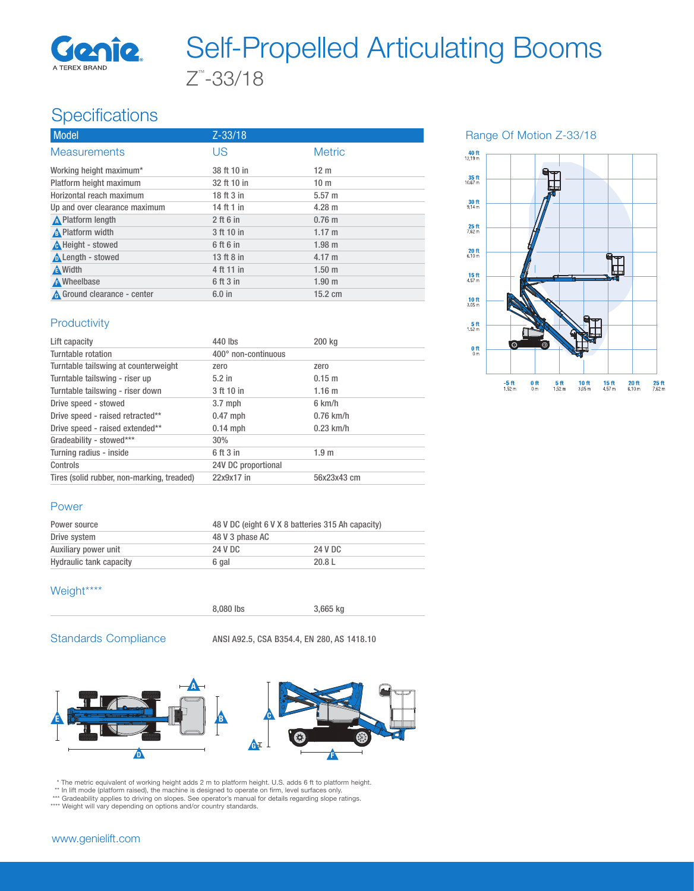

# Z™ -33/18 Self-Propelled Articulating Booms

## **Specifications**

| $Z - 33/18$ |                   |
|-------------|-------------------|
| <b>US</b>   | <b>Metric</b>     |
| 38 ft 10 in | 12 <sub>m</sub>   |
| 32 ft 10 in | 10 <sub>m</sub>   |
| 18 ft 3 in  | 5.57 m            |
| 14 ft 1 in  | $4.28 \text{ m}$  |
| $2$ ft 6 in | $0.76$ m          |
| 3 ft 10 in  | $1.17 \text{ m}$  |
| 6 ft 6 in   | $1.98$ m          |
| 13 ft 8 in  | $4.17 \text{ m}$  |
| 4 ft 11 in  | 1.50 <sub>m</sub> |
| 6 ft 3 in   | 1.90 <sub>m</sub> |
| $6.0$ in    | $15.2 \text{ cm}$ |
|             |                   |

Range Of Motion Z-33/18



## **Productivity**

| Lift capacity                              | 440 lbs             | 200 kg           |
|--------------------------------------------|---------------------|------------------|
| Turntable rotation                         | 400° non-continuous |                  |
| Turntable tailswing at counterweight       | zero                | zero             |
| Turntable tailswing - riser up             | $5.2$ in            | $0.15 \; m$      |
| Turntable tailswing - riser down           | 3 ft 10 in          | 1.16 m           |
| Drive speed - stowed                       | $3.7$ mph           | $6 \text{ km/h}$ |
| Drive speed - raised retracted**           | $0.47$ mph          | $0.76$ km/h      |
| Drive speed - raised extended**            | $0.14$ mph          | $0.23$ km/h      |
| Gradeability - stowed***                   | 30%                 |                  |
| Turning radius - inside                    | 6 ft 3 in           | 1.9 <sub>m</sub> |
| Controls                                   | 24V DC proportional |                  |
| Tires (solid rubber, non-marking, treaded) | 22x9x17 in          | 56x23x43 cm      |

### Power

| Power source            | 48 V DC (eight 6 V X 8 batteries 315 Ah capacity) |         |  |
|-------------------------|---------------------------------------------------|---------|--|
| Drive system            | 48 V 3 phase AC                                   |         |  |
| Auxiliary power unit    | 24 V DC                                           | 24 V DC |  |
| Hydraulic tank capacity | 6 gal                                             | 20.8L   |  |

## Weight\*\*\*\*



8,080 lbs 3,665 kg

Standards Compliance ANSI A92.5, CSA B354.4, EN 280, AS 1418.10



\* The metric equivalent of working height adds 2 m to platform height. U.S. adds 6 ft to platform height.<br>\*\* In lift mode (platform raised), the machine is designed to operate on firm, level surfaces only.<br>\*\*\* Gradeability

www.genielift.com